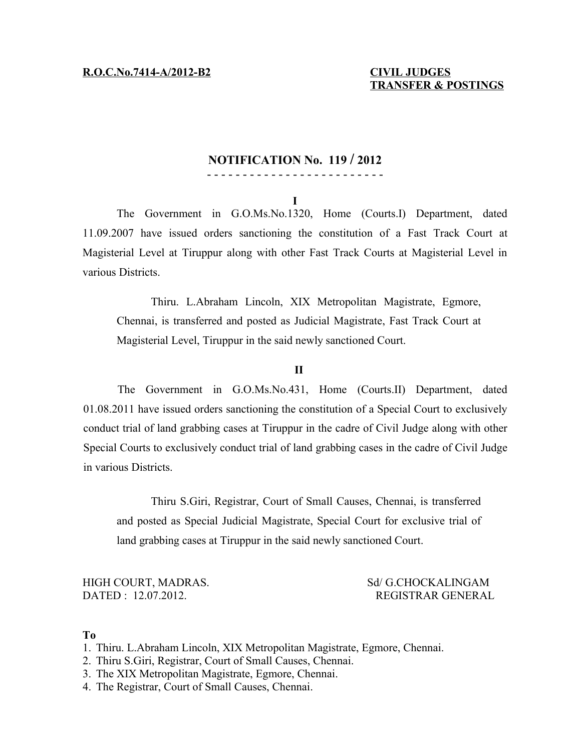### **NOTIFICATION No. 119 / 2012**

### - - - - - - - - - - - - - - - - - - - - - - - - -

**I**

The Government in G.O.Ms.No.1320, Home (Courts.I) Department, dated 11.09.2007 have issued orders sanctioning the constitution of a Fast Track Court at Magisterial Level at Tiruppur along with other Fast Track Courts at Magisterial Level in various Districts.

Thiru. L.Abraham Lincoln, XIX Metropolitan Magistrate, Egmore, Chennai, is transferred and posted as Judicial Magistrate, Fast Track Court at Magisterial Level, Tiruppur in the said newly sanctioned Court.

### **II**

The Government in G.O.Ms.No.431, Home (Courts.II) Department, dated 01.08.2011 have issued orders sanctioning the constitution of a Special Court to exclusively conduct trial of land grabbing cases at Tiruppur in the cadre of Civil Judge along with other Special Courts to exclusively conduct trial of land grabbing cases in the cadre of Civil Judge in various Districts.

Thiru S.Giri, Registrar, Court of Small Causes, Chennai, is transferred and posted as Special Judicial Magistrate, Special Court for exclusive trial of land grabbing cases at Tiruppur in the said newly sanctioned Court.

### HIGH COURT, MADRAS. Sd/ G.CHOCKALINGAM DATED : 12.07.2012. REGISTRAR GENERAL

#### **To**

- 1. Thiru. L.Abraham Lincoln, XIX Metropolitan Magistrate, Egmore, Chennai.
- 2. Thiru S.Giri, Registrar, Court of Small Causes, Chennai.
- 3. The XIX Metropolitan Magistrate, Egmore, Chennai.
- 4. The Registrar, Court of Small Causes, Chennai.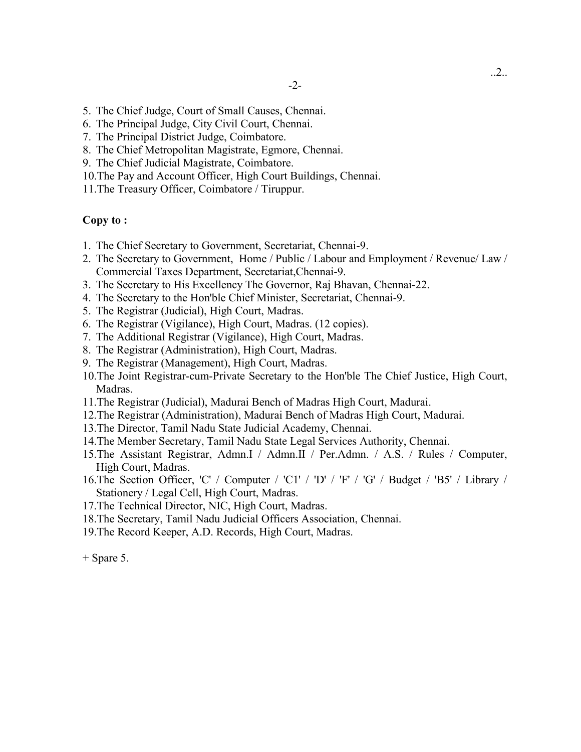- 5. The Chief Judge, Court of Small Causes, Chennai.
- 6. The Principal Judge, City Civil Court, Chennai.
- 7. The Principal District Judge, Coimbatore.
- 8. The Chief Metropolitan Magistrate, Egmore, Chennai.
- 9. The Chief Judicial Magistrate, Coimbatore.
- 10.The Pay and Account Officer, High Court Buildings, Chennai.
- 11.The Treasury Officer, Coimbatore / Tiruppur.

### **Copy to :**

- 1. The Chief Secretary to Government, Secretariat, Chennai-9.
- 2. The Secretary to Government, Home / Public / Labour and Employment / Revenue/ Law / Commercial Taxes Department, Secretariat,Chennai-9.
- 3. The Secretary to His Excellency The Governor, Raj Bhavan, Chennai-22.
- 4. The Secretary to the Hon'ble Chief Minister, Secretariat, Chennai-9.
- 5. The Registrar (Judicial), High Court, Madras.
- 6. The Registrar (Vigilance), High Court, Madras. (12 copies).
- 7. The Additional Registrar (Vigilance), High Court, Madras.
- 8. The Registrar (Administration), High Court, Madras.
- 9. The Registrar (Management), High Court, Madras.
- 10.The Joint Registrar-cum-Private Secretary to the Hon'ble The Chief Justice, High Court, Madras.
- 11.The Registrar (Judicial), Madurai Bench of Madras High Court, Madurai.
- 12.The Registrar (Administration), Madurai Bench of Madras High Court, Madurai.
- 13.The Director, Tamil Nadu State Judicial Academy, Chennai.
- 14.The Member Secretary, Tamil Nadu State Legal Services Authority, Chennai.
- 15.The Assistant Registrar, Admn.I / Admn.II / Per.Admn. / A.S. / Rules / Computer, High Court, Madras.
- 16.The Section Officer, 'C' / Computer / 'C1' / 'D' / 'F' / 'G' / Budget / 'B5' / Library / Stationery / Legal Cell, High Court, Madras.
- 17.The Technical Director, NIC, High Court, Madras.
- 18.The Secretary, Tamil Nadu Judicial Officers Association, Chennai.
- 19.The Record Keeper, A.D. Records, High Court, Madras.

+ Spare 5.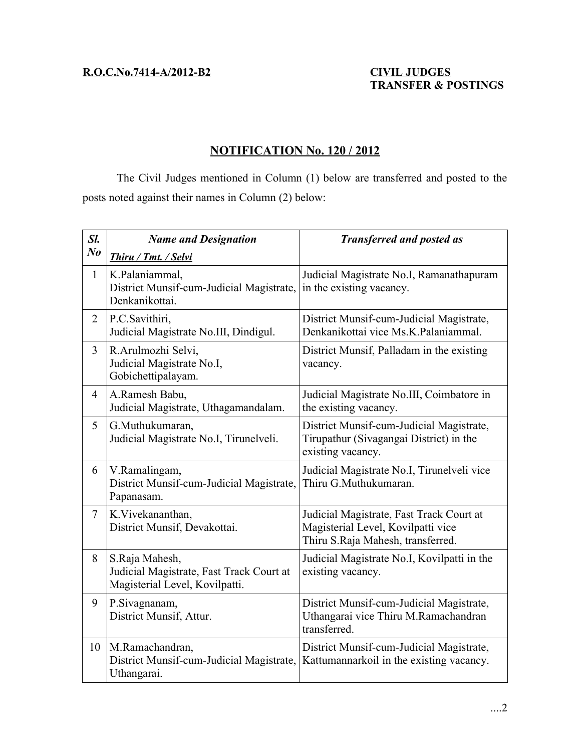# **TRANSFER & POSTINGS**

# **NOTIFICATION No. 120 / 2012**

The Civil Judges mentioned in Column (1) below are transferred and posted to the posts noted against their names in Column (2) below:

| Sl.            | <b>Name and Designation</b>                                                                  | <b>Transferred and posted as</b>                                                                                    |
|----------------|----------------------------------------------------------------------------------------------|---------------------------------------------------------------------------------------------------------------------|
| N <sub>o</sub> | Thiru / Tmt. / Selvi                                                                         |                                                                                                                     |
| $\mathbf{1}$   | K.Palaniammal,<br>District Munsif-cum-Judicial Magistrate,<br>Denkanikottai.                 | Judicial Magistrate No.I, Ramanathapuram<br>in the existing vacancy.                                                |
| $\overline{2}$ | P.C.Savithiri,<br>Judicial Magistrate No.III, Dindigul.                                      | District Munsif-cum-Judicial Magistrate,<br>Denkanikottai vice Ms.K.Palaniammal.                                    |
| $\overline{3}$ | R.Arulmozhi Selvi,<br>Judicial Magistrate No.I,<br>Gobichettipalayam.                        | District Munsif, Palladam in the existing<br>vacancy.                                                               |
| $\overline{4}$ | A.Ramesh Babu,<br>Judicial Magistrate, Uthagamandalam.                                       | Judicial Magistrate No.III, Coimbatore in<br>the existing vacancy.                                                  |
| 5              | G.Muthukumaran,<br>Judicial Magistrate No.I, Tirunelveli.                                    | District Munsif-cum-Judicial Magistrate,<br>Tirupathur (Sivagangai District) in the<br>existing vacancy.            |
| 6              | V.Ramalingam,<br>District Munsif-cum-Judicial Magistrate,<br>Papanasam.                      | Judicial Magistrate No.I, Tirunelveli vice<br>Thiru G.Muthukumaran.                                                 |
| $\overline{7}$ | K.Vivekananthan,<br>District Munsif, Devakottai.                                             | Judicial Magistrate, Fast Track Court at<br>Magisterial Level, Kovilpatti vice<br>Thiru S.Raja Mahesh, transferred. |
| 8              | S.Raja Mahesh,<br>Judicial Magistrate, Fast Track Court at<br>Magisterial Level, Kovilpatti. | Judicial Magistrate No.I, Kovilpatti in the<br>existing vacancy.                                                    |
| 9              | P.Sivagnanam,<br>District Munsif, Attur.                                                     | District Munsif-cum-Judicial Magistrate,<br>Uthangarai vice Thiru M.Ramachandran<br>transferred.                    |
| 10             | M.Ramachandran,<br>District Munsif-cum-Judicial Magistrate,<br>Uthangarai.                   | District Munsif-cum-Judicial Magistrate,<br>Kattumannarkoil in the existing vacancy.                                |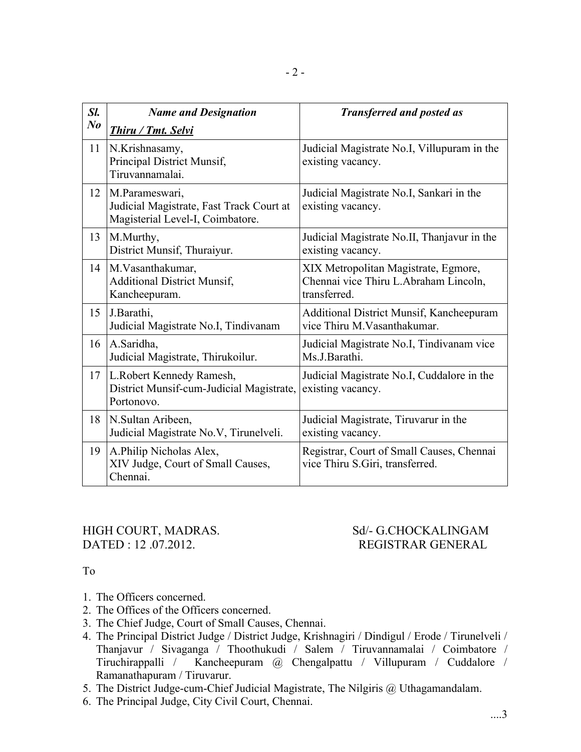| Sl.     | <b>Name and Designation</b>                                                                    | <b>Transferred and posted as</b>                                                              |
|---------|------------------------------------------------------------------------------------------------|-----------------------------------------------------------------------------------------------|
| $N_{0}$ | Thiru / Tmt. Selvi                                                                             |                                                                                               |
| 11      | N.Krishnasamy,<br>Principal District Munsif,<br>Tiruvannamalai.                                | Judicial Magistrate No.I, Villupuram in the<br>existing vacancy.                              |
| 12      | M.Parameswari,<br>Judicial Magistrate, Fast Track Court at<br>Magisterial Level-I, Coimbatore. | Judicial Magistrate No.I, Sankari in the<br>existing vacancy.                                 |
| 13      | M.Murthy,<br>District Munsif, Thuraiyur.                                                       | Judicial Magistrate No.II, Thanjavur in the<br>existing vacancy.                              |
| 14      | M. Vasanthakumar,<br><b>Additional District Munsif,</b><br>Kancheepuram.                       | XIX Metropolitan Magistrate, Egmore,<br>Chennai vice Thiru L.Abraham Lincoln,<br>transferred. |
| 15      | J.Barathi,<br>Judicial Magistrate No.I, Tindivanam                                             | Additional District Munsif, Kancheepuram<br>vice Thiru M. Vasanthakumar.                      |
| 16      | A.Saridha,<br>Judicial Magistrate, Thirukoilur.                                                | Judicial Magistrate No.I, Tindivanam vice<br>Ms.J.Barathi.                                    |
| 17      | L.Robert Kennedy Ramesh,<br>District Munsif-cum-Judicial Magistrate,<br>Portonovo.             | Judicial Magistrate No.I, Cuddalore in the<br>existing vacancy.                               |
| 18      | N. Sultan Aribeen,<br>Judicial Magistrate No.V, Tirunelveli.                                   | Judicial Magistrate, Tiruvarur in the<br>existing vacancy.                                    |
| 19      | A.Philip Nicholas Alex,<br>XIV Judge, Court of Small Causes,<br>Chennai.                       | Registrar, Court of Small Causes, Chennai<br>vice Thiru S.Giri, transferred.                  |

HIGH COURT, MADRAS. Sd/- G.CHOCKALINGAM

# REGISTRAR GENERAL

## To

- 1. The Officers concerned.
- 2. The Offices of the Officers concerned.
- 3. The Chief Judge, Court of Small Causes, Chennai.
- 4. The Principal District Judge / District Judge, Krishnagiri / Dindigul / Erode / Tirunelveli / Thanjavur / Sivaganga / Thoothukudi / Salem / Tiruvannamalai / Coimbatore / Tiruchirappalli / Kancheepuram @ Chengalpattu / Villupuram / Cuddalore / Ramanathapuram / Tiruvarur.
- 5. The District Judge-cum-Chief Judicial Magistrate, The Nilgiris @ Uthagamandalam.
- 6. The Principal Judge, City Civil Court, Chennai.